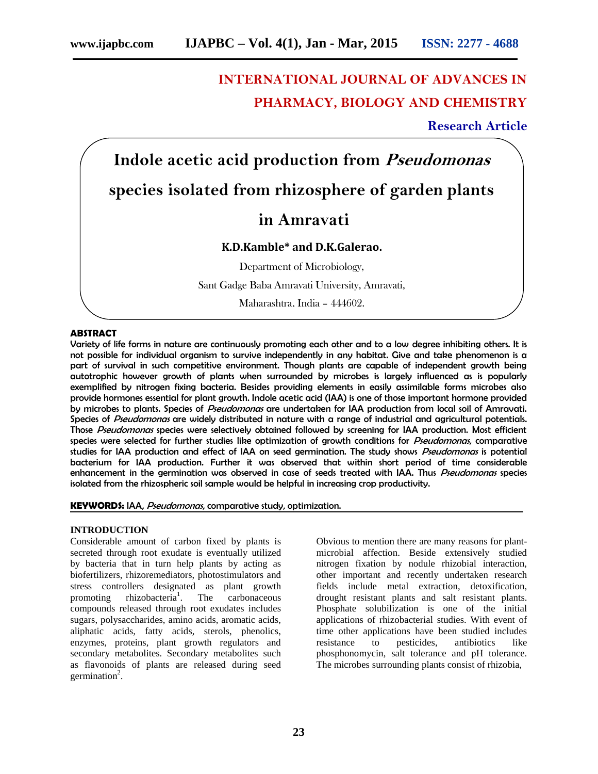# **INTERNATIONAL JOURNAL OF ADVANCES IN PHARMACY, BIOLOGY AND CHEMISTRY**

## **Research Article**

**Indole acetic acid production from** *Pseudomonas* **species isolated from rhizosphere of garden plants**

## **in Amravati**

### **K.D.Kamble\* and D.K.Galerao.**

Department of Microbiology,

Sant Gadge Baba Amravati University, Amravati,

Maharashtra, India – 444602.

#### **ABSTRACT**

Variety of life forms in nature are continuously promoting each other and to a low degree inhibiting others. It is not possible for individual organism to survive independently in any habitat. Give and take phenomenon is a part of survival in such competitive environment. Though plants are capable of independent growth being autotrophic however growth of plants when surrounded by microbes is largely influenced as is popularly exemplified by nitrogen fixing bacteria. Besides providing elements in easily assimilable forms microbes also provide hormones essential for plant growth. Indole acetic acid (IAA) is one of those important hormone provided by microbes to plants. Species of *Pseudomonas* are undertaken for IAA production from local soil of Amravati. Species of *Pseudomonas* are widely distributed in nature with a range of industrial and agricultural potentials. Those *Pseudomonas* species were selectively obtained followed by screening for IAA production. Most efficient species were selected for further studies like optimization of growth conditions for *Pseudomonas*, comparative studies for IAA production and effect of IAA on seed germination. The study shows *Pseudomonas* is potential bacterium for IAA production. Further it was observed that within short period of time considerable enhancement in the germination was observed in case of seeds treated with IAA. Thus *Pseudomonas* species isolated from the rhizospheric soil sample would be helpful in increasing crop productivity.

#### **KEYWORDS:** IAA, *Pseudomonas*, comparative study, optimization.

#### **INTRODUCTION**

Considerable amount of carbon fixed by plants is secreted through root exudate is eventually utilized by bacteria that in turn help plants by acting as biofertilizers, rhizoremediators, photostimulators and stress controllers designated as plant growth<br>promoting rhizobacteria<sup>1</sup>. The carbonaceous promoting rhizobacteria<sup>1</sup>. carbonaceous compounds released through root exudates includes sugars, polysaccharides, amino acids, aromatic acids, aliphatic acids, fatty acids, sterols, phenolics, enzymes, proteins, plant growth regulators and secondary metabolites. Secondary metabolites such as flavonoids of plants are released during seed germination<sup>2</sup>.

Obvious to mention there are many reasons for plant microbial affection. Beside extensively studied nitrogen fixation by nodule rhizobial interaction, other important and recently undertaken research fields include metal extraction, detoxification, drought resistant plants and salt resistant plants. Phosphate solubilization is one of the initial applications of rhizobacterial studies. With event of time other applications have been studied includes to pesticides, antibiotics like phosphonomycin, salt tolerance and pH tolerance. The microbes surrounding plants consist of rhizobia,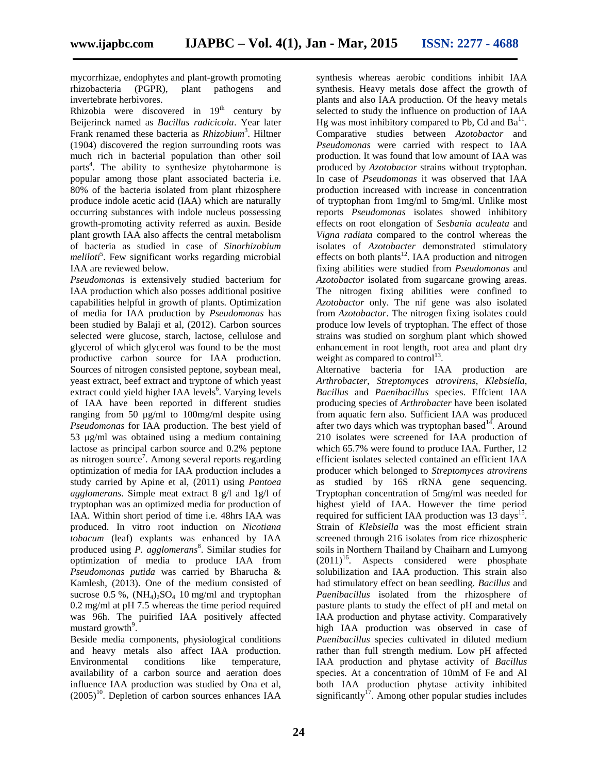mycorrhizae, endophytes and plant-growth promoting<br>thizobacteria (PGPR), plant pathogens and rhizobacteria (PGPR), plant pathogens and invertebrate herbivores.

Rhizobia were discovered in  $19<sup>th</sup>$  century by Beijerinck named as *Bacillus radicicola*. Year later Frank renamed these bacteria as *Rhizobium*<sup>3</sup> . Hiltner (1904) discovered the region surrounding roots was much rich in bacterial population than other soil parts<sup>4</sup>. The ability to synthesize phytoharmone is popular among those plant associated bacteria i.e. 80% of the bacteria isolated from plant rhizosphere produce indole acetic acid (IAA) which are naturally occurring substances with indole nucleus possessing growth-promoting activity referred as auxin. Beside plant growth IAA also affects the central metabolism of bacteria as studied in case of *Sinorhizobium meliloti*<sup>5</sup> . Few significant works regarding microbial IAA are reviewed below.

*Pseudomonas* is extensively studied bacterium for IAA production which also posses additional positive capabilities helpful in growth of plants. Optimization of media for IAA production by *Pseudomonas* has been studied by Balaji et al, (2012). Carbon sources selected were glucose, starch, lactose, cellulose and glycerol of which glycerol was found to be the most productive carbon source for IAA production. Sources of nitrogen consisted peptone, soybean meal, yeast extract, beef extract and tryptone of which yeast extract could yield higher IAA levels<sup>6</sup>. Varying levels of IAA have been reported in different studies ranging from 50 μg/ml to 100mg/ml despite using *Pseudomonas* for IAA production. The best yield of 53 μg/ml was obtained using a medium containing lactose as principal carbon source and 0.2% peptone as nitrogen source<sup>7</sup>. Among several reports regarding optimization of media for IAA production includes a study carried by Apine et al, (2011) using *Pantoea agglomerans*. Simple meat extract 8 g/l and 1g/l of tryptophan was an optimized media for production of IAA. Within short period of time i.e. 48hrs IAA was produced. In vitro root induction on *Nicotiana tobacum* (leaf) explants was enhanced by IAA produced using *P. agglomerans*<sup>8</sup> . Similar studies for optimization of media to produce IAA from *Pseudomonas putida* was carried by Bharucha & Kamlesh, (2013). One of the medium consisted of sucrose  $0.5\%$ ,  $(NH_4)_2SO_4$  10 mg/ml and tryptophan 0.2 mg/ml at pH 7.5 whereas the time period required was 96h. The puirified IAA positively affected mustard growth $\frac{9}{2}$ .

Beside media components, physiological conditions and heavy metals also affect IAA production. Environmental conditions like temperature, availability of a carbon source and aeration does influence IAA production was studied by Ona et al,  $(2005)^{10}$ . Depletion of carbon sources enhances IAA

synthesis whereas aerobic conditions inhibit IAA synthesis. Heavy metals dose affect the growth of plants and also IAA production. Of the heavy metals selected to study the influence on production of IAA Hg was most inhibitory compared to Pb, Cd and  $Ba<sup>11</sup>$ . Comparative studies between *Azotobactor* and *Pseudomonas* were carried with respect to IAA production. It was found that low amount of IAA was produced by *Azotobactor* strains without tryptophan. In case of *Pseudomonas* it was observed that IAA production increased with increase in concentration of tryptophan from 1mg/ml to 5mg/ml. Unlike most reports *Pseudomonas* isolates showed inhibitory effects on root elongation of *Sesbania aculeata* and *Vigna radiata* compared to the control whereas the isolates of *Azotobacter* demonstrated stimulatory effects on both plants<sup>12</sup>. IAA production and nitrogen fixing abilities were studied from *Pseudomonas* and *Azotobactor* isolated from sugarcane growing areas. The nitrogen fixing abilities were confined to *Azotobactor* only. The nif gene was also isolated from *Azotobactor*. The nitrogen fixing isolates could produce low levels of tryptophan. The effect of those strains was studied on sorghum plant which showed enhancement in root length, root area and plant dry weight as compared to control<sup>13</sup>.

Alternative bacteria for IAA production are *Arthrobacter*, *Streptomyces atrovirens*, *Klebsiella*, *Bacillus* and *Paenibacillus* species. Effcient IAA producing species of *Arthrobacter* have been isolated from aquatic fern also. Sufficient IAA was produced after two days which was tryptophan based<sup>14</sup>. Around 210 isolates were screened for IAA production of which 65.7% were found to produce IAA. Further, 12 efficient isolates selected contained an efficient IAA producer which belonged to *Streptomyces atrovirens* as studied by 16S rRNA gene sequencing. Tryptophan concentration of 5mg/ml was needed for highest yield of IAA. However the time period required for sufficient IAA production was 13 days<sup>15</sup>. Strain of *Klebsiella* was the most efficient strain screened through 216 isolates from rice rhizospheric soils in Northern Thailand by Chaiharn and Lumyong  $(2011)^{16}$ . Aspects considered were phosphate solubilization and IAA production. This strain also had stimulatory effect on bean seedling. *Bacillus* and *Paenibacillus* isolated from the rhizosphere of pasture plants to study the effect of pH and metal on IAA production and phytase activity. Comparatively high IAA production was observed in case of *Paenibacillus* species cultivated in diluted medium rather than full strength medium. Low pH affected IAA production and phytase activity of *Bacillus* species. At a concentration of 10mM of Fe and Al both IAA production phytase activity inhibited significantly<sup>17</sup>. Among other popular studies includes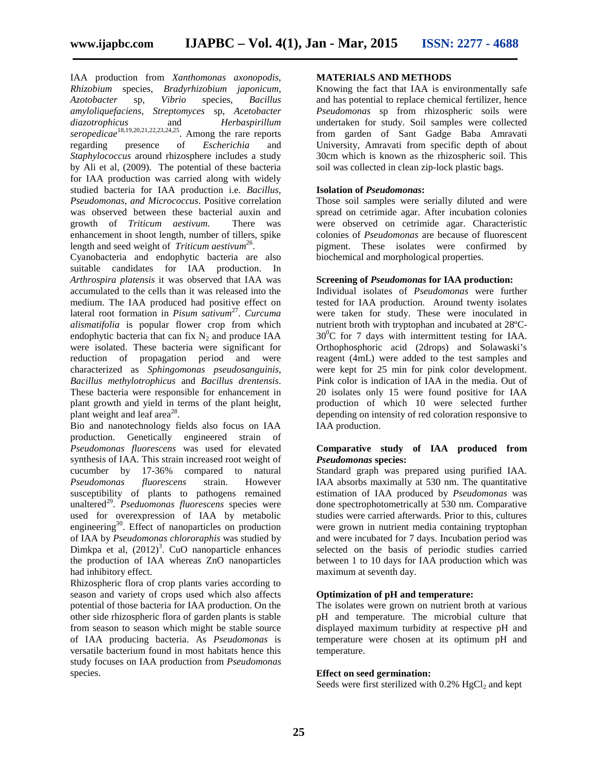IAA production from *Xanthomonas axonopodis*, *Rhizobium* species, *Bradyrhizobium japonicum*, *Azotobacter* sp, *Vibrio* species, *Bacillus amyloliquefaciens*, *Streptomyces* sp, *Acetobacter diazotrophicus* and *Herbaspirillum seropedicae*18,19,20,21,22,23,24,25. Among the rare reports regarding presence of *Escherichia* and *Staphylococcus* around rhizosphere includes a study by Ali et al, (2009). The potential of these bacteria for IAA production was carried along with widely studied bacteria for IAA production i.e. *Bacillus, Pseudomonas, and Micrococcus*. Positive correlation was observed between these bacterial auxin and<br>growth of Triticum aestivum. There was growth of *Triticum aestivum*. There was enhancement in shoot length, number of tillers, spike length and seed weight of *Triticum aestivum*<sup>26</sup>.

Cyanobacteria and endophytic bacteria are also suitable candidates for IAA production. In *Arthrospira platensis* it was observed that IAA was accumulated to the cells than it was released into the medium. The IAA produced had positive effect on lateral root formation in *Pisum sativum*<sup>27</sup> . *Curcuma alismatifolia* is popular flower crop from which endophytic bacteria that can fix  $N_2$  and produce IAA were isolated. These bacteria were significant for reduction of propagation period and were characterized as *Sphingomonas pseudosanguinis*, *Bacillus methylotrophicus* and *Bacillus drentensis*. These bacteria were responsible for enhancement in plant growth and yield in terms of the plant height, plant weight and leaf area $^{28}$ .

Bio and nanotechnology fields also focus on IAA production. Genetically engineered strain of *Pseudomonas fluorescens* was used for elevated synthesis of IAA. This strain increased root weight of cucumber by 17-36% compared to natural *Pseudomonas fluorescens* strain. However susceptibility of plants to pathogens remained unaltered<sup>29</sup>. *Pseduomonas fluorescens* species were used for overexpression of IAA by metabolic engineering<sup>30</sup>. Effect of nanoparticles on production of IAA by *Pseudomonas chlororaphis* was studied by Dimkpa et al,  $(2012)^3$ . CuO nanoparticle enhances the production of IAA whereas ZnO nanoparticles had inhibitory effect.

Rhizospheric flora of crop plants varies according to season and variety of crops used which also affects potential of those bacteria for IAA production. On the other side rhizospheric flora of garden plants is stable from season to season which might be stable source of IAA producing bacteria. As *Pseudomonas* is versatile bacterium found in most habitats hence this study focuses on IAA production from *Pseudomonas* species.

#### **MATERIALS AND METHODS**

Knowing the fact that IAA is environmentally safe and has potential to replace chemical fertilizer, hence *Pseudomonas* sp from rhizospheric soils were undertaken for study. Soil samples were collected from garden of Sant Gadge Baba Amravati University, Amravati from specific depth of about 30cm which is known as the rhizospheric soil. This soil was collected in clean zip-lock plastic bags.

#### **Isolation of** *Pseudomonas***:**

Those soil samples were serially diluted and were spread on cetrimide agar. After incubation colonies were observed on cetrimide agar. Characteristic colonies of *Pseudomonas* are because of fluorescent pigment. These isolates were confirmed by biochemical and morphological properties.

#### **Screening of** *Pseudomonas* **for IAA production:**

Individual isolates of *Pseudomonas* were further tested for IAA production. Around twenty isolates were taken for study. These were inoculated in nutrient broth with tryptophan and incubated at 28ºC-  $30^0$ C for 7 days with intermittent testing for IAA. Orthophosphoric acid (2drops) and Solawaski's reagent (4mL) were added to the test samples and were kept for 25 min for pink color development. Pink color is indication of IAA in the media. Out of 20 isolates only 15 were found positive for IAA production of which 10 were selected further depending on intensity of red coloration responsive to IAA production.

#### **Comparative study of IAA produced from** *Pseudomonas* **species:**

Standard graph was prepared using purified IAA. IAA absorbs maximally at 530 nm. The quantitative estimation of IAA produced by *Pseudomonas* was done spectrophotometrically at 530 nm. Comparative studies were carried afterwards. Prior to this, cultures were grown in nutrient media containing tryptophan and were incubated for 7 days. Incubation period was selected on the basis of periodic studies carried between 1 to 10 days for IAA production which was maximum at seventh day.

#### **Optimization of pH and temperature:**

The isolates were grown on nutrient broth at various pH and temperature. The microbial culture that displayed maximum turbidity at respective pH and temperature were chosen at its optimum pH and temperature.

#### **Effect on seed germination:**

Seeds were first sterilized with  $0.2\%$  HgCl<sub>2</sub> and kept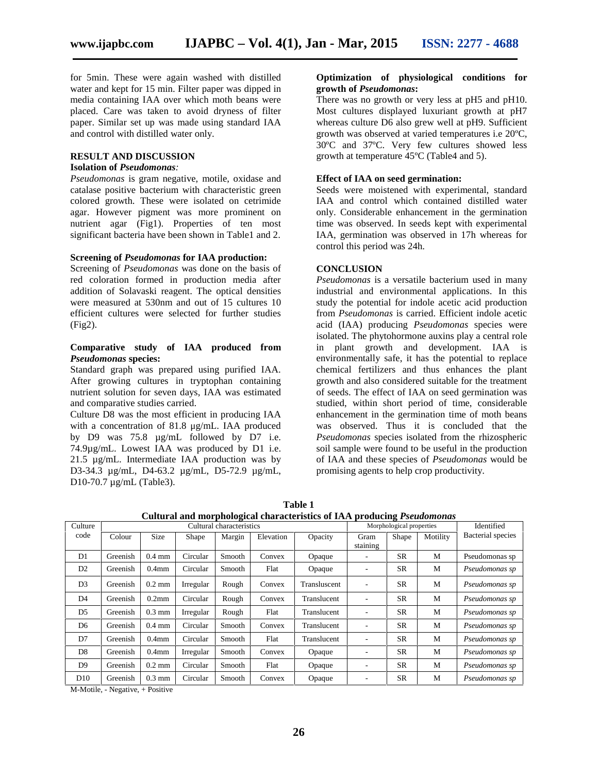for 5min. These were again washed with distilled water and kept for 15 min. Filter paper was dipped in media containing IAA over which moth beans were placed. Care was taken to avoid dryness of filter paper. Similar set up was made using standard IAA and control with distilled water only.

#### **RESULT AND DISCUSSION**

#### **Isolation of** *Pseudomonas:*

*Pseudomonas* is gram negative, motile, oxidase and catalase positive bacterium with characteristic green colored growth. These were isolated on cetrimide agar. However pigment was more prominent on nutrient agar (Fig1). Properties of ten most significant bacteria have been shown in Table1 and 2.

#### **Screening of** *Pseudomonas* **for IAA production:**

Screening of *Pseudomonas* was done on the basis of red coloration formed in production media after addition of Solavaski reagent. The optical densities were measured at 530nm and out of 15 cultures 10 efficient cultures were selected for further studies (Fig2).

#### **Comparative study of IAA produced from** *Pseudomonas* **species:**

Standard graph was prepared using purified IAA. After growing cultures in tryptophan containing nutrient solution for seven days, IAA was estimated and comparative studies carried.

Culture D8 was the most efficient in producing IAA with a concentration of 81.8 μg/mL. IAA produced by D9 was 75.8 µg/mL followed by D7 i.e. 74.9µg/mL. Lowest IAA was produced by D1 i.e. 21.5 µg/mL. Intermediate IAA production was by D3-34.3 µg/mL, D4-63.2 µg/mL, D5-72.9 µg/mL, D10-70.7 µg/mL (Table3).

#### **Optimization of physiological conditions for growth of** *Pseudomonas***:**

There was no growth or very less at pH5 and pH10. Most cultures displayed luxuriant growth at pH7 whereas culture D6 also grew well at pH9. Sufficient growth was observed at varied temperatures i.e 20ºC, 30ºC and 37ºC. Very few cultures showed less growth at temperature 45ºC (Table4 and 5).

#### **Effect of IAA on seed germination:**

Seeds were moistened with experimental, standard IAA and control which contained distilled water only. Considerable enhancement in the germination time was observed. In seeds kept with experimental IAA, germination was observed in 17h whereas for control this period was 24h.

#### **CONCLUSION**

*Pseudomonas* is a versatile bacterium used in many industrial and environmental applications. In this study the potential for indole acetic acid production from *Pseudomonas* is carried. Efficient indole acetic acid (IAA) producing *Pseudomonas* species were isolated. The phytohormone auxins play a central role in plant growth and development. IAA is environmentally safe, it has the potential to replace chemical fertilizers and thus enhances the plant growth and also considered suitable for the treatment of seeds. The effect of IAA on seed germination was studied, within short period of time, considerable enhancement in the germination time of moth beans was observed. Thus it is concluded that the *Pseudomonas* species isolated from the rhizospheric soil sample were found to be useful in the production of IAA and these species of *Pseudomonas* would be promising agents to help crop productivity.

|                |          |                   |           |                          |           | Cultural and morphological characteristics of IAA producing <i>Pseuaomonds</i> |                          |           |          |                   |
|----------------|----------|-------------------|-----------|--------------------------|-----------|--------------------------------------------------------------------------------|--------------------------|-----------|----------|-------------------|
| Culture        |          |                   |           | Cultural characteristics |           | Morphological properties                                                       | Identified               |           |          |                   |
| code           | Colour   | <b>Size</b>       | Shape     | Margin                   | Elevation | Opacity                                                                        | Gram<br>staining         | Shape     | Motility | Bacterial species |
| D1             | Greenish | $0.4 \text{ mm}$  | Circular  | Smooth                   | Convex    | Opaque                                                                         | $\overline{\phantom{a}}$ | <b>SR</b> | M        | Pseudomonas sp    |
| D <sub>2</sub> | Greenish | $0.4$ mm          | Circular  | Smooth                   | Flat      | Opaque                                                                         |                          | <b>SR</b> | M        | Pseudomonas sp    |
| D <sub>3</sub> | Greenish | $0.2 \text{ mm}$  | Irregular | Rough                    | Convex    | Transluscent                                                                   |                          | <b>SR</b> | M        | Pseudomonas sp    |
| D <sub>4</sub> | Greenish | $0.2$ mm          | Circular  | Rough                    | Convex    | Translucent                                                                    | ٠                        | <b>SR</b> | M        | Pseudomonas sp    |
| D <sub>5</sub> | Greenish | $0.3$ mm          | Irregular | Rough                    | Flat      | Translucent                                                                    |                          | <b>SR</b> | M        | Pseudomonas sp    |
| D <sub>6</sub> | Greenish | $0.4 \text{ mm}$  | Circular  | Smooth                   | Convex    | Translucent                                                                    |                          | <b>SR</b> | M        | Pseudomonas sp    |
| D7             | Greenish | 0.4 <sub>mm</sub> | Circular  | Smooth                   | Flat      | Translucent                                                                    | $\overline{\phantom{a}}$ | <b>SR</b> | M        | Pseudomonas sp    |
| D <sub>8</sub> | Greenish | $0.4$ mm          | Irregular | Smooth                   | Convex    | Opaque                                                                         | $\overline{\phantom{a}}$ | <b>SR</b> | M        | Pseudomonas sp    |
| D <sub>9</sub> | Greenish | $0.2 \text{ mm}$  | Circular  | Smooth                   | Flat      | Opaque                                                                         | $\overline{\phantom{a}}$ | <b>SR</b> | M        | Pseudomonas sp    |
| D10            | Greenish | $0.3$ mm          | Circular  | Smooth                   | Convex    | Opaque                                                                         | $\overline{\phantom{a}}$ | <b>SR</b> | M        | Pseudomonas sp    |

**Table 1 that is a contract of the contract of the contract of the contract of the contract of the contract of the contract of the contract of the contract of the contract of the contract of the contract of the contract Cultural and morphological characteristics of IAA producing** *Pseudomonas*

M-Motile, - Negative, + Positive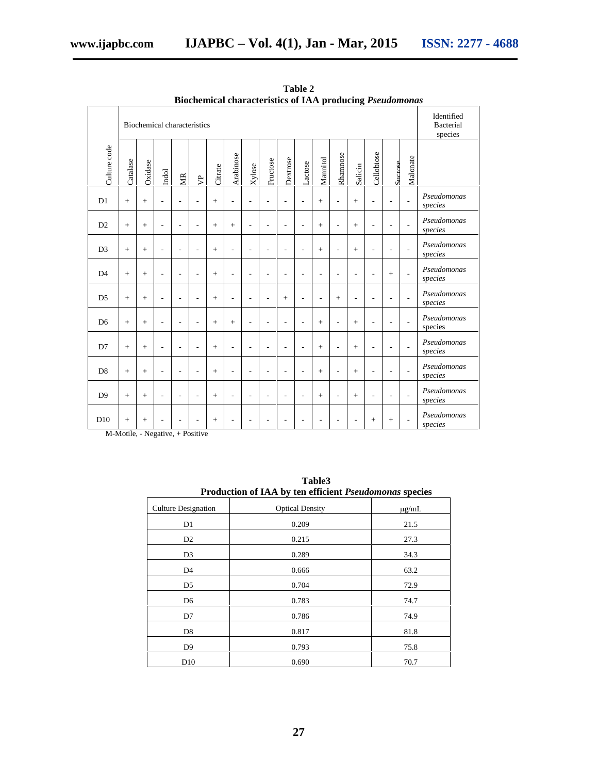|                | Diochenneal enal acteristics of 1AA producing 1 scaaomonas<br>Biochemical characteristics |         |       |                          |                |         |                |                |                          |                | Identified<br>Bacterial<br>species |          |                          |         |            |                    |                          |                        |
|----------------|-------------------------------------------------------------------------------------------|---------|-------|--------------------------|----------------|---------|----------------|----------------|--------------------------|----------------|------------------------------------|----------|--------------------------|---------|------------|--------------------|--------------------------|------------------------|
| Culture code   | Catalase                                                                                  | Oxidase | Indol | МR                       | 户              | Citrate | Arabinose      | Xylose         | Fructose                 | Dextrose       | Lactose                            | Mannitol | Rhamnose                 | Salicin | Cellobiose | $S_{\rm Interose}$ | Malonate                 |                        |
| D <sub>1</sub> | $+$                                                                                       | $+$     | ٠     | L,                       | L,             | $+$     |                | $\overline{a}$ | $\overline{\phantom{a}}$ | L,             |                                    | $+$      | L,                       | $+$     |            | L,                 | $\overline{a}$           | Pseudomonas<br>species |
| D2             | $+$                                                                                       | $+$     |       | ÷.                       | L,             | $+$     | $+$            | L,             |                          | L,             |                                    | $+$      | $\overline{\phantom{a}}$ | $+$     |            |                    | $\overline{a}$           | Pseudomonas<br>species |
| D <sub>3</sub> | $+$                                                                                       | $+$     |       | ÷.                       | L,             | $+$     |                | ÷.             |                          | L,             |                                    | $+$      | ÷.                       | $+$     |            |                    | $\overline{a}$           | Pseudomonas<br>species |
| D <sub>4</sub> | $+$                                                                                       | $+$     |       | ÷.                       |                | $+$     |                |                |                          | L,             |                                    |          |                          | ÷,      |            | $\pm$              | $\overline{a}$           | Pseudomonas<br>species |
| D <sub>5</sub> | $+$                                                                                       | $+$     | L.    | $\overline{a}$           | $\overline{a}$ | $+$     | $\overline{a}$ | L,             | ÷.                       | $+$            | $\overline{a}$                     | L,       | $+$                      | L,      |            | J.                 | L,                       | Pseudomonas<br>species |
| D <sub>6</sub> | $+$                                                                                       | $+$     |       | $\overline{\phantom{a}}$ | $\overline{a}$ | $+$     | $+$            | L,             | $\overline{a}$           | $\overline{a}$ |                                    | $+$      | $\overline{a}$           | $+$     |            | ÷                  | L,                       | Pseudomonas<br>species |
| D7             | $+$                                                                                       | $+$     |       | L,                       | L,             | $+$     |                | L,             |                          | L,             |                                    | $+$      | L,                       | $+$     |            |                    | $\overline{a}$           | Pseudomonas<br>species |
| D <sub>8</sub> | $+$                                                                                       | $+$     |       | $\overline{a}$           | $\overline{a}$ | $+$     | $\overline{a}$ | $\overline{a}$ | L,                       | $\overline{a}$ |                                    | $+$      | $\overline{a}$           | $+$     |            |                    | $\overline{\phantom{a}}$ | Pseudomonas<br>species |
| D <sup>9</sup> | $+$                                                                                       | $+$     |       | L,                       | $\overline{a}$ | $+$     |                | $\overline{a}$ |                          | L,             |                                    | $+$      | L,                       | $+$     |            | ÷.                 | $\overline{a}$           | Pseudomonas<br>species |
| D10            | $+$                                                                                       | $+$     |       | ٠                        | ٠              | $+$     |                | ٠              |                          | L,             |                                    |          | ٠                        | L,      | $+$        | $+$                | L,                       | Pseudomonas<br>species |

**Table 2 Biochemical characteristics of IAA producing** *Pseudomonas*

M-Motile, - Negative, + Positive

| Production of IAA by ten efficient Pseudomonas species |                        |            |  |  |  |  |
|--------------------------------------------------------|------------------------|------------|--|--|--|--|
| <b>Culture Designation</b>                             | <b>Optical Density</b> | $\mu$ g/mL |  |  |  |  |
| D1                                                     | 0.209                  | 21.5       |  |  |  |  |
| D <sub>2</sub>                                         | 0.215                  | 27.3       |  |  |  |  |
| D <sub>3</sub>                                         | 0.289                  | 34.3       |  |  |  |  |
| D4                                                     | 0.666                  | 63.2       |  |  |  |  |
| D5                                                     | 0.704                  | 72.9       |  |  |  |  |
| D <sub>6</sub>                                         | 0.783                  | 74.7       |  |  |  |  |
| D7                                                     | 0.786                  | 74.9       |  |  |  |  |
| D <sub>8</sub>                                         | 0.817                  | 81.8       |  |  |  |  |
| D <sub>9</sub>                                         | 0.793                  | 75.8       |  |  |  |  |
| D <sub>10</sub>                                        | 0.690                  | 70.7       |  |  |  |  |

**Table3**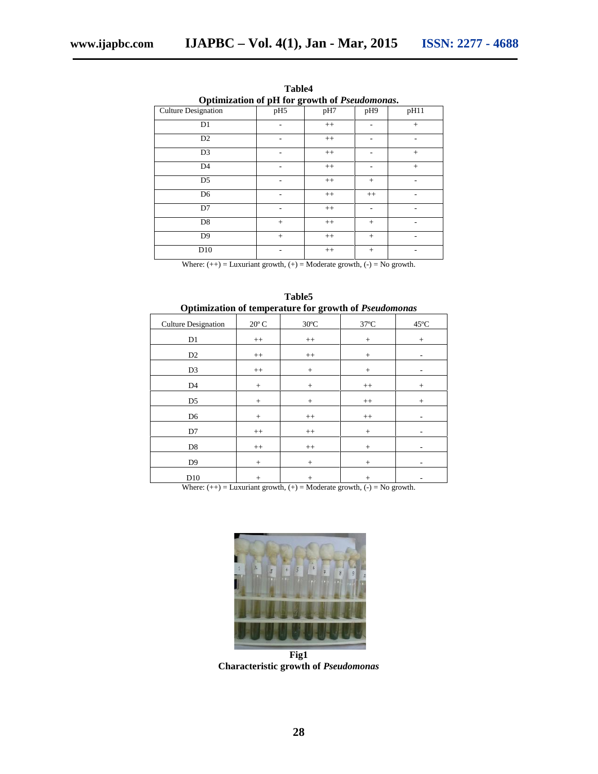| Optimization of pH for growth of Pseudomonas. |                 |         |         |      |  |  |  |
|-----------------------------------------------|-----------------|---------|---------|------|--|--|--|
| <b>Culture Designation</b>                    | pH <sub>5</sub> | pH7     | pH9     | pH11 |  |  |  |
| D1                                            |                 | $^{++}$ |         | $+$  |  |  |  |
| D <sub>2</sub>                                |                 | $^{++}$ |         |      |  |  |  |
| D <sub>3</sub>                                | -               | $^{++}$ | ۰       | $+$  |  |  |  |
| D <sub>4</sub>                                | ۰               | $++$    | ۰       | $+$  |  |  |  |
| D <sub>5</sub>                                |                 | $^{++}$ | $+$     |      |  |  |  |
| D <sub>6</sub>                                |                 | $^{++}$ | $^{++}$ |      |  |  |  |
| D7                                            |                 | $^{++}$ | ۰       |      |  |  |  |
| D <sub>8</sub>                                | $+$             | $^{++}$ | $^{+}$  | ۰    |  |  |  |
| D <sub>9</sub>                                | $+$             | $^{++}$ | $+$     | ۰    |  |  |  |
| D10                                           | -               | $^{++}$ | $+$     |      |  |  |  |

**Table4**

Where:  $(++)$  = Luxuriant growth,  $(+)$  = Moderate growth,  $(-)$  = No growth.

| Optimization of temperature for growth of Pseudomonas |                |                |                |                |  |  |  |  |
|-------------------------------------------------------|----------------|----------------|----------------|----------------|--|--|--|--|
| <b>Culture Designation</b>                            | $20^{\circ}$ C | $30^{\circ}$ C | $37^{\circ}$ C | $45^{\circ}$ C |  |  |  |  |
| D1                                                    | $^{++}$        | $++$           | $+$            | $+$            |  |  |  |  |
| D <sub>2</sub>                                        | $^{++}$        | $++$           | $^{+}$         |                |  |  |  |  |
| D <sub>3</sub>                                        | $^{++}$        | $+$            | $+$            |                |  |  |  |  |
| D <sub>4</sub>                                        | $^{+}$         | $^{+}$         | $^{++}$        | $^{+}$         |  |  |  |  |
| D <sub>5</sub>                                        | $+$            | $+$            | $^{++}$        | $^{+}$         |  |  |  |  |
| D <sub>6</sub>                                        | $^{+}$         | $^{++}$        | $^{++}$        |                |  |  |  |  |
| D7                                                    | $^{++}$        | $^{++}$        | $+$            |                |  |  |  |  |
| D <sub>8</sub>                                        | $^{++}$        | $++$           | $+$            |                |  |  |  |  |
| D <sub>9</sub>                                        | $+$            | $+$            | $+$            |                |  |  |  |  |
| D10                                                   | $+$            | $^{+}$         | $^{+}$         |                |  |  |  |  |

**Table5**

Where:  $(++)$  = Luxuriant growth,  $(+)$  = Moderate growth,  $(-)$  = No growth.



**Fig1 Characteristic growth of** *Pseudomonas*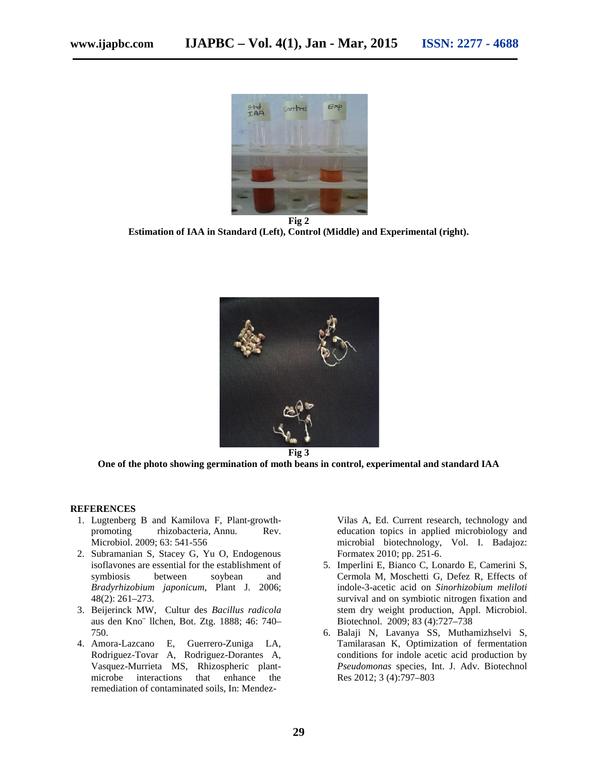

**Fig 2 Estimation of IAA in Standard (Left), Control (Middle) and Experimental (right).**



**One of the photo showing germination of moth beans in control, experimental and standard IAA**

#### **REFERENCES**

- 1. Lugtenberg B and Kamilova F, Plant-growth promoting rhizobacteria, Annu. Rev. Microbiol. 2009; 63: 541-556
- 2. Subramanian S, Stacey G, Yu O, Endogenous isoflavones are essential for the establishment of symbiosis between soybean and *Bradyrhizobium japonicum,* Plant J. 2006; 48(2): 261–273.
- 3. Beijerinck MW, Cultur des *Bacillus radicola* aus den Kno¨ llchen, Bot. Ztg. 1888; 46: 740– 750.
- 4. Amora-Lazcano E, Guerrero-Zuniga LA, Rodriguez-Tovar A, Rodriguez-Dorantes A, Vasquez-Murrieta MS, Rhizospheric plant microbe interactions that enhance the remediation of contaminated soils, In: Mendez-

Vilas A, Ed. Current research, technology and education topics in applied microbiology and microbial biotechnology, Vol. I. Badajoz: Formatex 2010; pp. 251-6.

- 5. Imperlini E, Bianco C, Lonardo E, Camerini S, Cermola M, Moschetti G, Defez R, Effects of indole-3-acetic acid on *Sinorhizobium meliloti* survival and on symbiotic nitrogen fixation and stem dry weight production, Appl. Microbiol. Biotechnol. 2009; 83 (4):727–738
- 6. Balaji N, Lavanya SS, Muthamizhselvi S, Tamilarasan K, Optimization of fermentation conditions for indole acetic acid production by *Pseudomonas* species, Int. J. Adv. Biotechnol Res 2012; 3 (4):797–803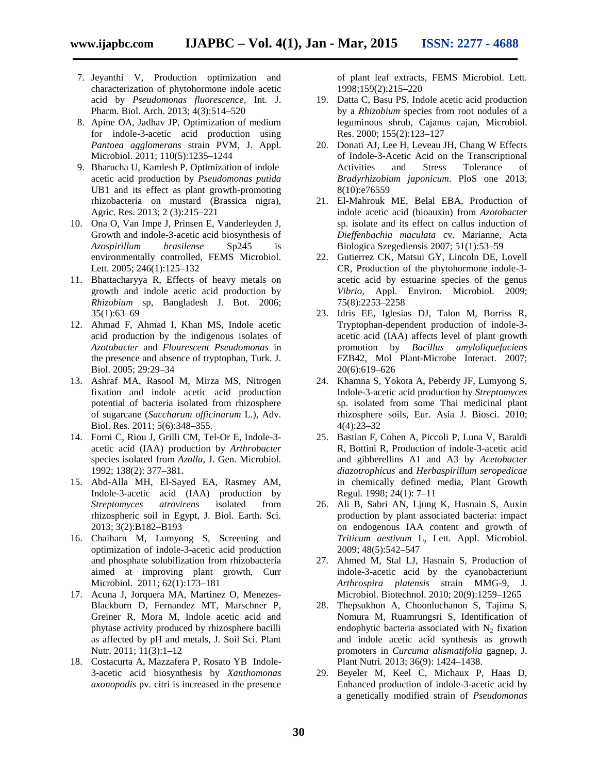- 7. Jeyanthi V, Production optimization and characterization of phytohormone indole acetic acid by *Pseudomonas fluorescence,* Int. J. Pharm. Biol. Arch. 2013; 4(3):514–520
- 8. Apine OA, Jadhav JP, Optimization of medium for indole-3-acetic acid production using *Pantoea agglomerans* strain PVM, J. Appl. Microbiol. 2011; 110(5):1235–1244
- 9. Bharucha U, Kamlesh P, Optimization of indole acetic acid production by *Pseudomonas putida* UB1 and its effect as plant growth-promoting rhizobacteria on mustard (Brassica nigra), Agric. Res. 2013; 2 (3):215–221
- 10. Ona O, Van Impe J, Prinsen E, Vanderleyden J, Growth and indole-3-acetic acid biosynthesis of *Azospirillum brasilense* Sp245 is environmentally controlled, FEMS Microbiol. Lett. 2005; 246(1):125–132
- 11. Bhattacharyya R, Effects of heavy metals on growth and indole acetic acid production by *Rhizobium* sp, Bangladesh J. Bot. 2006; 35(1):63–69
- 12. Ahmad F, Ahmad I, Khan MS, Indole acetic acid production by the indigenous isolates of *Azotobacter* and *Flourescent Pseudomonas* in the presence and absence of tryptophan, Turk. J. Biol. 2005; 29:29–34
- 13. Ashraf MA, Rasool M, Mirza MS, Nitrogen fixation and indole acetic acid production potential of bacteria isolated from rhizosphere of sugarcane (*Saccharum officinarum* L.), Adv. Biol. Res. 2011; 5(6):348–355.
- 14. Forni C, Riou J, Grilli CM, Tel-Or E, Indole-3 acetic acid (IAA) production by *Arthrobacter* species isolated from *Azolla*, J. Gen. Microbiol*.* 1992; 138(2): 377–381.
- 15. Abd-Alla MH, El-Sayed EA, Rasmey AM, Indole-3-acetic acid (IAA) production by *Streptomyces atrovirens* isolated from rhizospheric soil in Egypt, J. Biol. Earth. Sci. 2013; 3(2):B182–B193
- 16. Chaiharn M, Lumyong S, Screening and optimization of indole-3-acetic acid production and phosphate solubilization from rhizobacteria aimed at improving plant growth, Curr Microbiol. 2011; 62(1):173–181
- 17. Acuna J, Jorquera MA, Martinez O, Menezes- Blackburn D, Fernandez MT, Marschner P, Greiner R, Mora M, Indole acetic acid and phytase activity produced by rhizosphere bacilli as affected by pH and metals, J. Soil Sci. Plant Nutr. 2011; 11(3):1–12
- 18. Costacurta A, Mazzafera P, Rosato YB Indole- 3-acetic acid biosynthesis by *Xanthomonas axonopodis* pv. citri is increased in the presence

of plant leaf extracts, FEMS Microbiol. Lett. 1998;159(2):215–220

- 19. Datta C, Basu PS, Indole acetic acid production by a *Rhizobium* species from root nodules of a leguminous shrub, Cajanus cajan, Microbiol. Res. 2000; 155(2):123–127
- 20. Donati AJ, Lee H, Leveau JH, Chang W Effects of Indole-3-Acetic Acid on the Transcriptional Activities and Stress Tolerance of *Bradyrhizobium japonicum*. PloS one 2013; 8(10):e76559
- 21. El-Mahrouk ME, Belal EBA, Production of indole acetic acid (bioauxin) from *Azotobacter* sp. isolate and its effect on callus induction of *Dieffenbachia maculata* cv. Marianne, Acta Biologica Szegediensis 2007; 51(1):53–59
- 22. Gutierrez CK, Matsui GY, Lincoln DE, Lovell CR, Production of the phytohormone indole-3 acetic acid by estuarine species of the genus *Vibrio*, Appl. Environ. Microbiol. 2009; 75(8):2253–2258
- 23. Idris EE, Iglesias DJ, Talon M, Borriss R, Tryptophan-dependent production of indole-3 acetic acid (IAA) affects level of plant growth promotion by *Bacillus amyloliquefaciens* FZB42, Mol Plant-Microbe Interact. 2007; 20(6):619–626
- 24. Khamna S, Yokota A, Peberdy JF, Lumyong S, Indole-3-acetic acid production by *Streptomyces* sp. isolated from some Thai medicinal plant rhizosphere soils, Eur. Asia J. Biosci. 2010; 4(4):23–32
- 25. Bastian F, Cohen A, Piccoli P, Luna V, Baraldi R, Bottini R, Production of indole-3-acetic acid and gibberellins A1 and A3 by *Acetobacter diazotrophicus* and *Herbaspirillum seropedicae* in chemically defined media, Plant Growth Regul*.* 1998; 24(1): 7–11
- 26. Ali B, Sabri AN, Ljung K, Hasnain S, Auxin production by plant associated bacteria: impact on endogenous IAA content and growth of *Triticum aestivum* L, Lett. Appl. Microbiol. 2009; 48(5):542–547
- 27. Ahmed M, Stal LJ, Hasnain S, Production of indole-3-acetic acid by the cyanobacterium *Arthrospira platensis* strain MMG-9, J. Microbiol. Biotechnol. 2010; 20(9):1259–1265
- 28. Thepsukhon A, Choonluchanon S, Tajima S, Nomura M, Ruamrungsri S, Identification of endophytic bacteria associated with  $N_2$  fixation and indole acetic acid synthesis as growth promoters in *Curcuma alismatifolia* gagnep, J. Plant Nutri*.* 2013; 36(9): 1424–1438.
- 29. Beyeler M, Keel C, Michaux P, Haas D, Enhanced production of indole-3-acetic acid by a genetically modified strain of *Pseudomonas*